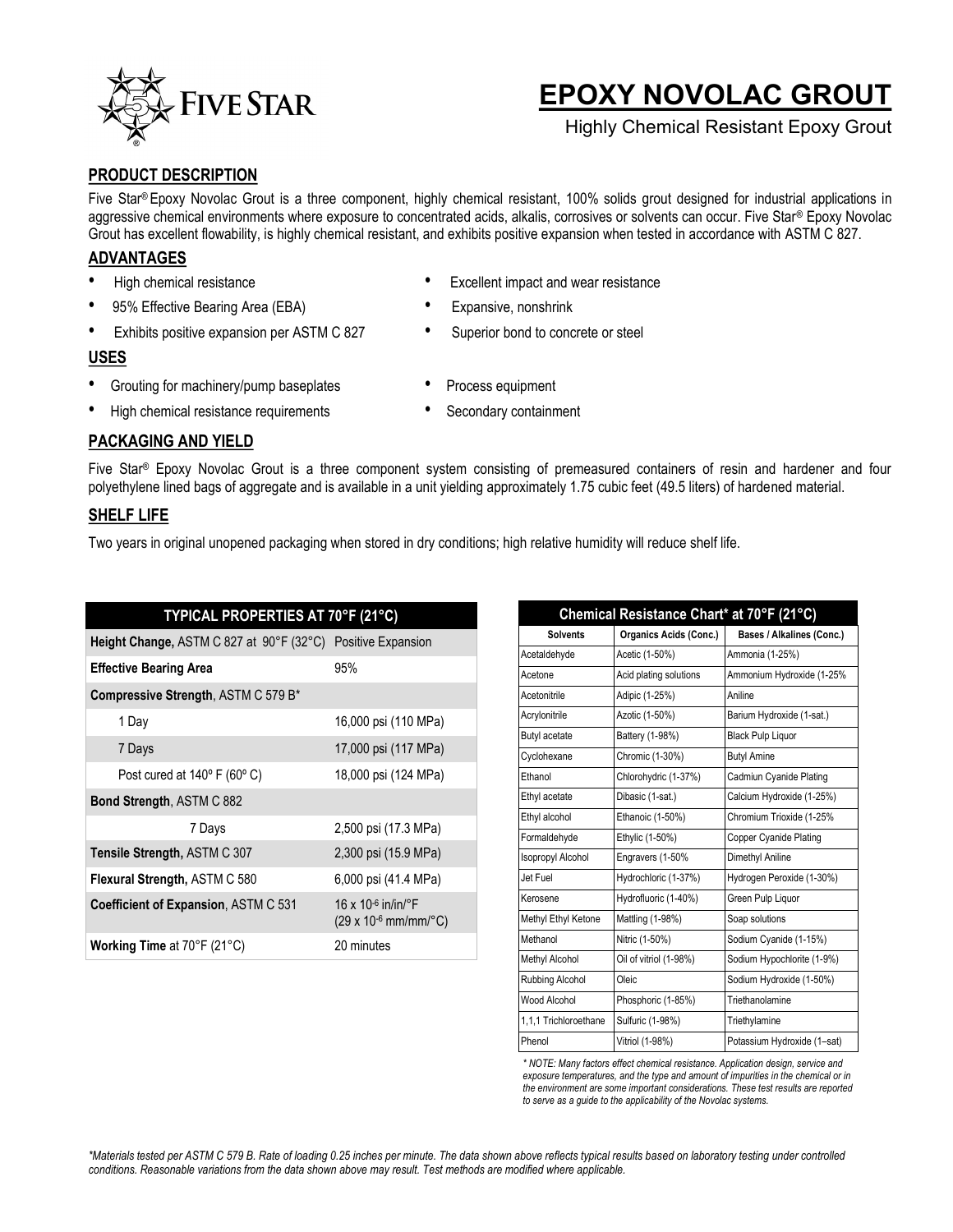

# **EPOXY NOVOLAC GROUT**

Highly Chemical Resistant Epoxy Grout

## **PRODUCT DESCRIPTION**

Five Star® Epoxy Novolac Grout is a three component, highly chemical resistant, 100% solids grout designed for industrial applications in aggressive chemical environments where exposure to concentrated acids, alkalis, corrosives or solvents can occur. Five Star® Epoxy Novolac Grout has excellent flowability, is highly chemical resistant, and exhibits positive expansion when tested in accordance with ASTM C 827.

#### **ADVANTAGES**

- 
- 95% Effective Bearing Area (EBA) Expansive, nonshrink
- Exhibits positive expansion per ASTM C 827 Superior bond to concrete or steel

#### **USES**

- Grouting for machinery/pump baseplates Process equipment
- High chemical resistance requirements Secondary containment
- High chemical resistance **•** Excellent impact and wear resistance
	-
	-
	-
	-

## **PACKAGING AND YIELD**

Five Star® Epoxy Novolac Grout is a three component system consisting of premeasured containers of resin and hardener and four polyethylene lined bags of aggregate and is available in a unit yielding approximately 1.75 cubic feet (49.5 liters) of hardened material.

## **SHELF LIFE**

Two years in original unopened packaging when stored in dry conditions; high relative humidity will reduce shelf life.

| TYPICAL PROPERTIES AT 70°F (21°C)                           |                                                      |  |  |
|-------------------------------------------------------------|------------------------------------------------------|--|--|
| Height Change, ASTM C 827 at 90°F (32°C) Positive Expansion |                                                      |  |  |
| <b>Effective Bearing Area</b>                               | 95%                                                  |  |  |
| Compressive Strength, ASTM C 579 B*                         |                                                      |  |  |
| 1 Day                                                       | 16,000 psi (110 MPa)                                 |  |  |
| 7 Days                                                      | 17,000 psi (117 MPa)                                 |  |  |
| Post cured at $140^\circ$ F (60 $^\circ$ C)                 | 18,000 psi (124 MPa)                                 |  |  |
| <b>Bond Strength, ASTM C 882</b>                            |                                                      |  |  |
| 7 Days                                                      | 2,500 psi (17.3 MPa)                                 |  |  |
| Tensile Strength, ASTM C 307                                | 2,300 psi (15.9 MPa)                                 |  |  |
| <b>Flexural Strength, ASTM C 580</b>                        | 6,000 psi (41.4 MPa)                                 |  |  |
| <b>Coefficient of Expansion, ASTM C 531</b>                 | 16 x 10-6 in/in/ $\degree$ F<br>(29 x 10-6 mm/mm/°C) |  |  |
| <b>Working Time at 70°F (21°C)</b>                          | 20 minutes                                           |  |  |

| Chemical Resistance Chart* at 70°F (21°C) |                               |                             |  |  |
|-------------------------------------------|-------------------------------|-----------------------------|--|--|
| <b>Solvents</b>                           | <b>Organics Acids (Conc.)</b> | Bases / Alkalines (Conc.)   |  |  |
| Acetaldehyde                              | Acetic (1-50%)                | Ammonia (1-25%)             |  |  |
| Acetone                                   | Acid plating solutions        | Ammonium Hydroxide (1-25%   |  |  |
| Acetonitrile                              | Adipic (1-25%)                | Aniline                     |  |  |
| Acrylonitrile                             | Azotic (1-50%)                | Barium Hydroxide (1-sat.)   |  |  |
| Butyl acetate                             | Battery (1-98%)               | <b>Black Pulp Liquor</b>    |  |  |
| Cyclohexane                               | Chromic (1-30%)               | <b>Butyl Amine</b>          |  |  |
| Ethanol                                   | Chlorohydric (1-37%)          | Cadmiun Cyanide Plating     |  |  |
| Ethyl acetate                             | Dibasic (1-sat.)              | Calcium Hydroxide (1-25%)   |  |  |
| Ethyl alcohol                             | Ethanoic (1-50%)              | Chromium Trioxide (1-25%    |  |  |
| Formaldehyde                              | Ethylic (1-50%)               | Copper Cyanide Plating      |  |  |
| <b>Isopropyl Alcohol</b>                  | Engravers (1-50%              | Dimethyl Aniline            |  |  |
| Jet Fuel                                  | Hydrochloric (1-37%)          | Hydrogen Peroxide (1-30%)   |  |  |
| Kerosene                                  | Hydrofluoric (1-40%)          | Green Pulp Liquor           |  |  |
| Methyl Ethyl Ketone                       | Mattling (1-98%)              | Soap solutions              |  |  |
| Methanol                                  | Nitric (1-50%)                | Sodium Cyanide (1-15%)      |  |  |
| Methyl Alcohol                            | Oil of vitriol (1-98%)        | Sodium Hypochlorite (1-9%)  |  |  |
| Rubbing Alcohol                           | Oleic                         | Sodium Hydroxide (1-50%)    |  |  |
| Wood Alcohol                              | Phosphoric (1-85%)            | Triethanolamine             |  |  |
| 1.1.1 Trichloroethane                     | Sulfuric (1-98%)              | Triethylamine               |  |  |
| Phenol                                    | Vitriol (1-98%)               | Potassium Hydroxide (1-sat) |  |  |

*\* NOTE: Many factors effect chemical resistance. Application design, service and exposure temperatures, and the type and amount of impurities in the chemical or in the environment are some important considerations. These test results are reported to serve as a guide to the applicability of the Novolac systems.*

*\*Materials tested per ASTM C 579 B. Rate of loading 0.25 inches per minute. The data shown above reflects typical results based on laboratory testing under controlled conditions. Reasonable variations from the data shown above may result. Test methods are modified where applicable.*